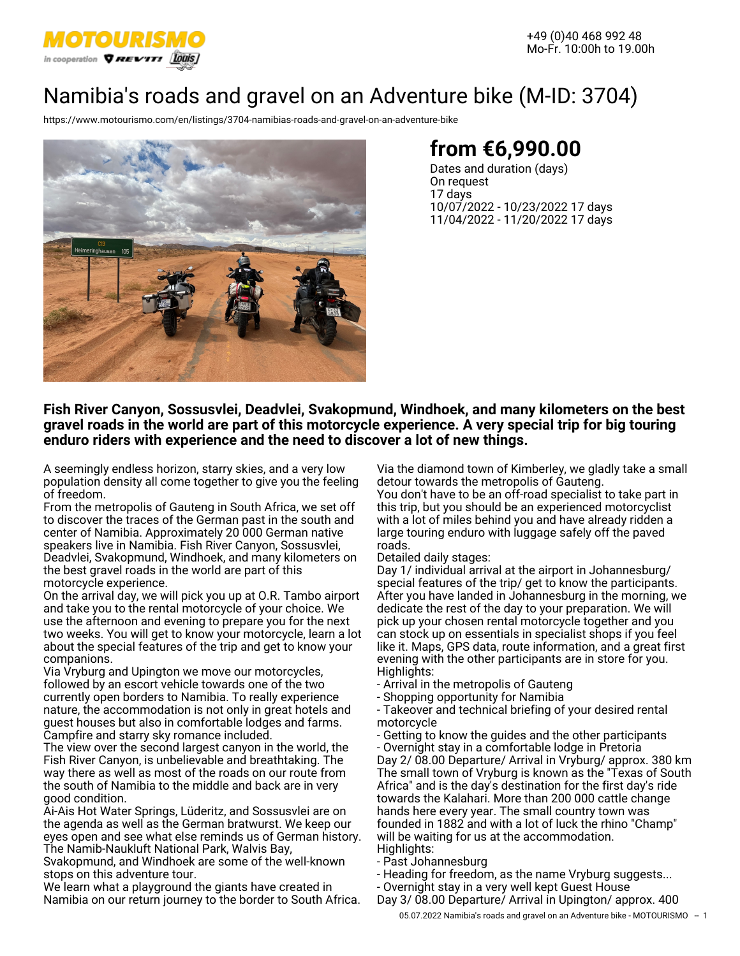

+49 (0)40 468 992 48 Mo-Fr. 10:00h to 19.00h

# Namibia's roads and gravel on an Adventure bike (M-ID: 3704)

<https://www.motourismo.com/en/listings/3704-namibias-roads-and-gravel-on-an-adventure-bike>



# **from €6,990.00**

Dates and duration (days) On request 17 days 10/07/2022 - 10/23/2022 17 days 11/04/2022 - 11/20/2022 17 days

### **Fish River Canyon, Sossusvlei, Deadvlei, Svakopmund, Windhoek, and many kilometers on the best gravel roads in the world are part of this motorcycle experience. A very special trip for big touring enduro riders with experience and the need to discover a lot of new things.**

A seemingly endless horizon, starry skies, and a very low population density all come together to give you the feeling of freedom.

From the metropolis of Gauteng in South Africa, we set off to discover the traces of the German past in the south and center of Namibia. Approximately 20 000 German native speakers live in Namibia. Fish River Canyon, Sossusvlei, Deadvlei, Svakopmund, Windhoek, and many kilometers on the best gravel roads in the world are part of this motorcycle experience.

On the arrival day, we will pick you up at O.R. Tambo airport and take you to the rental motorcycle of your choice. We use the afternoon and evening to prepare you for the next two weeks. You will get to know your motorcycle, learn a lot about the special features of the trip and get to know your companions.

Via Vryburg and Upington we move our motorcycles, followed by an escort vehicle towards one of the two currently open borders to Namibia. To really experience nature, the accommodation is not only in great hotels and guest houses but also in comfortable lodges and farms. Campfire and starry sky romance included.

The view over the second largest canyon in the world, the Fish River Canyon, is unbelievable and breathtaking. The way there as well as most of the roads on our route from the south of Namibia to the middle and back are in very good condition.

Ai-Ais Hot Water Springs, Lüderitz, and Sossusvlei are on the agenda as well as the German bratwurst. We keep our eyes open and see what else reminds us of German history. The Namib-Naukluft National Park, Walvis Bay,

Svakopmund, and Windhoek are some of the well-known stops on this adventure tour.

We learn what a playground the giants have created in Namibia on our return journey to the border to South Africa. Via the diamond town of Kimberley, we gladly take a small detour towards the metropolis of Gauteng.

You don't have to be an off-road specialist to take part in this trip, but you should be an experienced motorcyclist with a lot of miles behind you and have already ridden a large touring enduro with luggage safely off the paved roads.

#### Detailed daily stages:

Day 1/ individual arrival at the airport in Johannesburg/ special features of the trip/ get to know the participants. After you have landed in Johannesburg in the morning, we dedicate the rest of the day to your preparation. We will pick up your chosen rental motorcycle together and you can stock up on essentials in specialist shops if you feel like it. Maps, GPS data, route information, and a great first evening with the other participants are in store for you. Highlights:

- Arrival in the metropolis of Gauteng
- Shopping opportunity for Namibia
- Takeover and technical briefing of your desired rental motorcycle

- Getting to know the guides and the other participants - Overnight stay in a comfortable lodge in Pretoria Day 2/ 08.00 Departure/ Arrival in Vryburg/ approx. 380 km The small town of Vryburg is known as the "Texas of South Africa" and is the day's destination for the first day's ride towards the Kalahari. More than 200 000 cattle change hands here every year. The small country town was founded in 1882 and with a lot of luck the rhino "Champ" will be waiting for us at the accommodation. Highlights:

- Past Johannesburg

- Heading for freedom, as the name Vryburg suggests...

- Overnight stay in a very well kept Guest House

Day 3/ 08.00 Departure/ Arrival in Upington/ approx. 400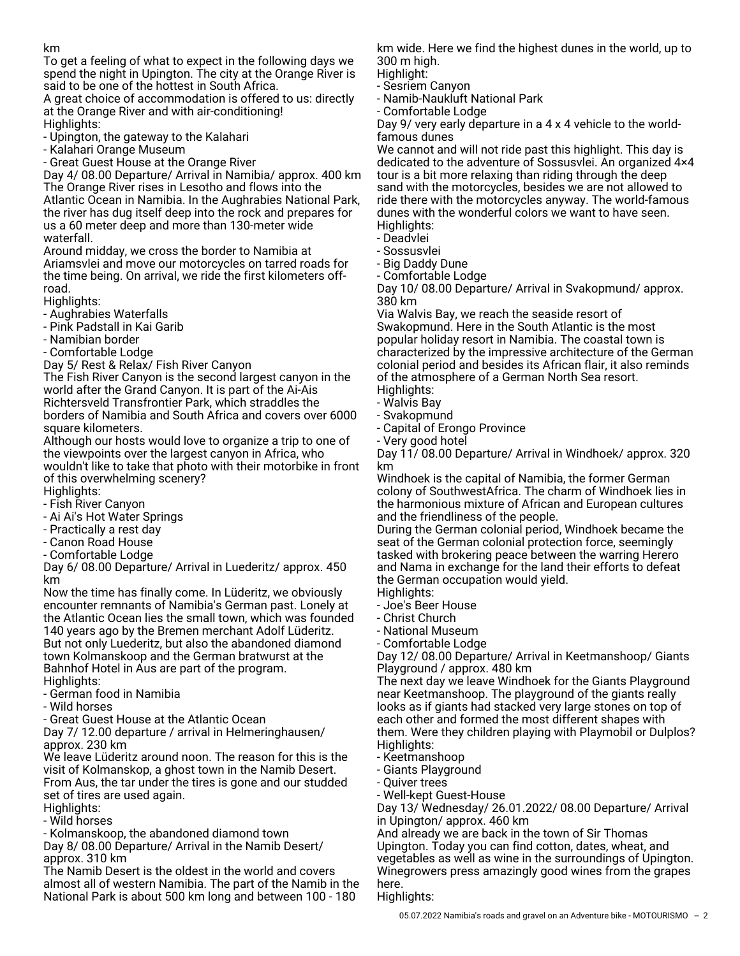To get a feeling of what to expect in the following days we spend the night in Upington. The city at the Orange River is said to be one of the hottest in South Africa.

A great choice of accommodation is offered to us: directly at the Orange River and with air-conditioning! Highlights:

- Upington, the gateway to the Kalahari

- Kalahari Orange Museum

- Great Guest House at the Orange River

Day 4/ 08.00 Departure/ Arrival in Namibia/ approx. 400 km The Orange River rises in Lesotho and flows into the Atlantic Ocean in Namibia. In the Aughrabies National Park, the river has dug itself deep into the rock and prepares for us a 60 meter deep and more than 130-meter wide waterfall.

Around midday, we cross the border to Namibia at Ariamsvlei and move our motorcycles on tarred roads for the time being. On arrival, we ride the first kilometers offroad.

Highlights:

- Aughrabies Waterfalls
- Pink Padstall in Kai Garib
- Namibian border
- Comfortable Lodge

Day 5/ Rest & Relax/ Fish River Canyon

The Fish River Canyon is the second largest canyon in the world after the Grand Canyon. It is part of the Ai-Ais Richtersveld Transfrontier Park, which straddles the borders of Namibia and South Africa and covers over 6000 square kilometers.

Although our hosts would love to organize a trip to one of the viewpoints over the largest canyon in Africa, who wouldn't like to take that photo with their motorbike in front of this overwhelming scenery?

Highlights:

- Fish River Canyon
- Ai Ai's Hot Water Springs
- Practically a rest day
- Canon Road House
- Comfortable Lodge

Day 6/ 08.00 Departure/ Arrival in Luederitz/ approx. 450 km

Now the time has finally come. In Lüderitz, we obviously encounter remnants of Namibia's German past. Lonely at the Atlantic Ocean lies the small town, which was founded 140 years ago by the Bremen merchant Adolf Lüderitz. But not only Luederitz, but also the abandoned diamond town Kolmanskoop and the German bratwurst at the Bahnhof Hotel in Aus are part of the program. Highlights:

- German food in Namibia
- Wild horses
- Great Guest House at the Atlantic Ocean

Day 7/ 12.00 departure / arrival in Helmeringhausen/ approx. 230 km

We leave Lüderitz around noon. The reason for this is the visit of Kolmanskop, a ghost town in the Namib Desert. From Aus, the tar under the tires is gone and our studded set of tires are used again.

Highlights:

- Wild horses

- Kolmanskoop, the abandoned diamond town

Day 8/ 08.00 Departure/ Arrival in the Namib Desert/ approx. 310 km

The Namib Desert is the oldest in the world and covers almost all of western Namibia. The part of the Namib in the National Park is about 500 km long and between 100 - 180

km wide. Here we find the highest dunes in the world, up to 300 m high.

Highlight:

- Sesriem Canyon
- Namib-Naukluft National Park - Comfortable Lodge

Day 9/ very early departure in a 4 x 4 vehicle to the worldfamous dunes

We cannot and will not ride past this highlight. This day is dedicated to the adventure of Sossusvlei. An organized 4×4 tour is a bit more relaxing than riding through the deep sand with the motorcycles, besides we are not allowed to ride there with the motorcycles anyway. The world-famous dunes with the wonderful colors we want to have seen. Highlights:

- Deadvlei
- Sossusvlei
- Big Daddy Dune
- Comfortable Lodge

Day 10/ 08.00 Departure/ Arrival in Svakopmund/ approx. 380 km

Via Walvis Bay, we reach the seaside resort of Swakopmund. Here in the South Atlantic is the most popular holiday resort in Namibia. The coastal town is characterized by the impressive architecture of the German colonial period and besides its African flair, it also reminds of the atmosphere of a German North Sea resort. Highlights:

- 
- Walvis Bay
- Svakopmund - Capital of Erongo Province
- Very good hotel

Day 11/ 08.00 Departure/ Arrival in Windhoek/ approx. 320 km

Windhoek is the capital of Namibia, the former German colony of SouthwestAfrica. The charm of Windhoek lies in the harmonious mixture of African and European cultures and the friendliness of the people.

During the German colonial period, Windhoek became the seat of the German colonial protection force, seemingly tasked with brokering peace between the warring Herero and Nama in exchange for the land their efforts to defeat the German occupation would yield.

- Highlights:
- Joe's Beer House - Christ Church
- National Museum
- Comfortable Lodge

Day 12/ 08.00 Departure/ Arrival in Keetmanshoop/ Giants Playground / approx. 480 km

The next day we leave Windhoek for the Giants Playground near Keetmanshoop. The playground of the giants really looks as if giants had stacked very large stones on top of each other and formed the most different shapes with them. Were they children playing with Playmobil or Dulplos? Highlights:

- Keetmanshoop
- Giants Playground
- Quiver trees
- Well-kept Guest-House

Day 13/ Wednesday/ 26.01.2022/ 08.00 Departure/ Arrival in Upington/ approx. 460 km

And already we are back in the town of Sir Thomas Upington. Today you can find cotton, dates, wheat, and vegetables as well as wine in the surroundings of Upington. Winegrowers press amazingly good wines from the grapes here.

Highlights: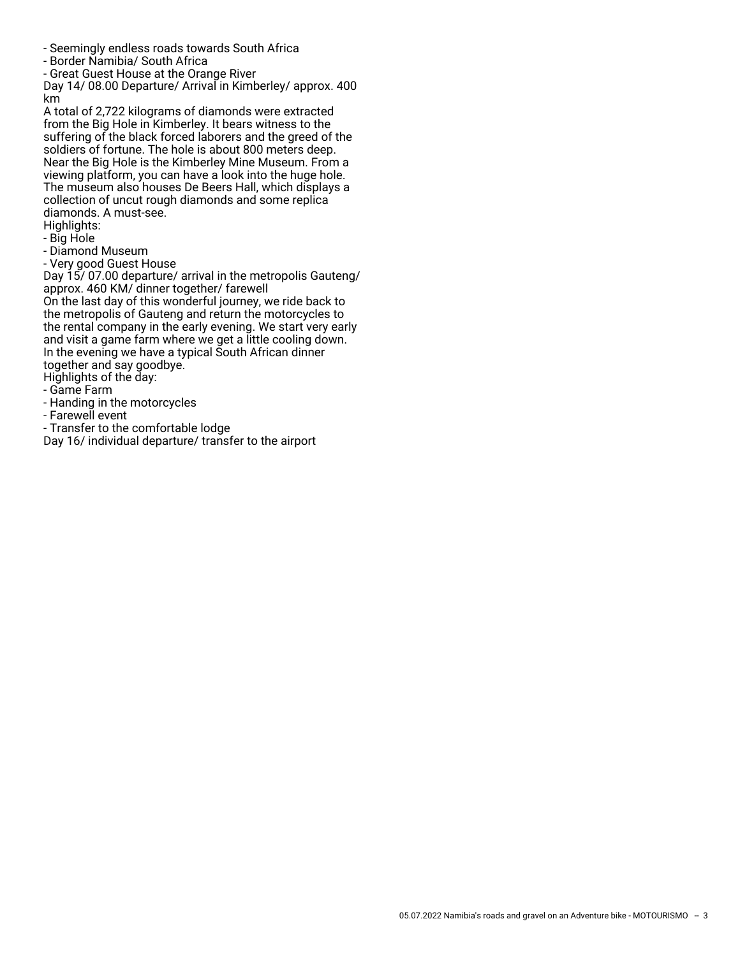- Seemingly endless roads towards South Africa
- Border Namibia/ South Africa
- Great Guest House at the Orange River

Day 14/ 08.00 Departure/ Arrival in Kimberley/ approx. 400 km

A total of 2,722 kilograms of diamonds were extracted from the Big Hole in Kimberley. It bears witness to the suffering of the black forced laborers and the greed of the soldiers of fortune. The hole is about 800 meters deep. Near the Big Hole is the Kimberley Mine Museum. From a viewing platform, you can have a look into the huge hole. The museum also houses De Beers Hall, which displays a collection of uncut rough diamonds and some replica diamonds. A must-see.

Highlights:

- Big Hole
- Diamond Museum
- Very good Guest House

Day 15/ 07.00 departure/ arrival in the metropolis Gauteng/ approx. 460 KM/ dinner together/ farewell On the last day of this wonderful journey, we ride back to the metropolis of Gauteng and return the motorcycles to the rental company in the early evening. We start very early and visit a game farm where we get a little cooling down. In the evening we have a typical South African dinner together and say goodbye.

Highlights of the day:

- Game Farm
- Handing in the motorcycles
- Farewell event
- Transfer to the comfortable lodge

Day 16/ individual departure/ transfer to the airport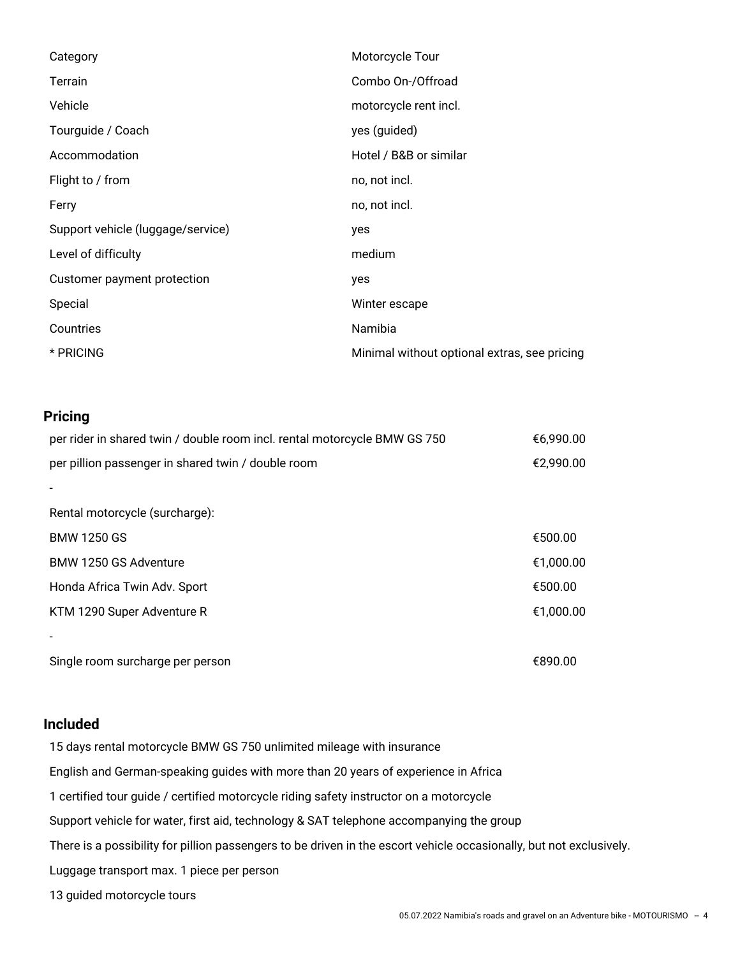| Category                          | Motorcycle Tour                              |
|-----------------------------------|----------------------------------------------|
| Terrain                           | Combo On-/Offroad                            |
| Vehicle                           | motorcycle rent incl.                        |
| Tourguide / Coach                 | yes (guided)                                 |
| Accommodation                     | Hotel / B&B or similar                       |
| Flight to / from                  | no, not incl.                                |
| Ferry                             | no, not incl.                                |
| Support vehicle (luggage/service) | yes                                          |
| Level of difficulty               | medium                                       |
| Customer payment protection       | yes                                          |
| Special                           | Winter escape                                |
| Countries                         | Namibia                                      |
| * PRICING                         | Minimal without optional extras, see pricing |

# **Pricing**

| per rider in shared twin / double room incl. rental motorcycle BMW GS 750 | €6,990.00 |
|---------------------------------------------------------------------------|-----------|
| per pillion passenger in shared twin / double room                        | €2,990.00 |
|                                                                           |           |
| Rental motorcycle (surcharge):                                            |           |
| <b>BMW 1250 GS</b>                                                        | €500.00   |
| BMW 1250 GS Adventure                                                     | €1,000.00 |
| Honda Africa Twin Adv. Sport                                              | €500.00   |
| KTM 1290 Super Adventure R                                                | €1,000.00 |
|                                                                           |           |
| Single room surcharge per person                                          | €890.00   |

# **Included**

15 days rental motorcycle BMW GS 750 unlimited mileage with insurance English and German-speaking guides with more than 20 years of experience in Africa 1 certified tour guide / certified motorcycle riding safety instructor on a motorcycle Support vehicle for water, first aid, technology & SAT telephone accompanying the group There is a possibility for pillion passengers to be driven in the escort vehicle occasionally, but not exclusively. Luggage transport max. 1 piece per person 13 guided motorcycle tours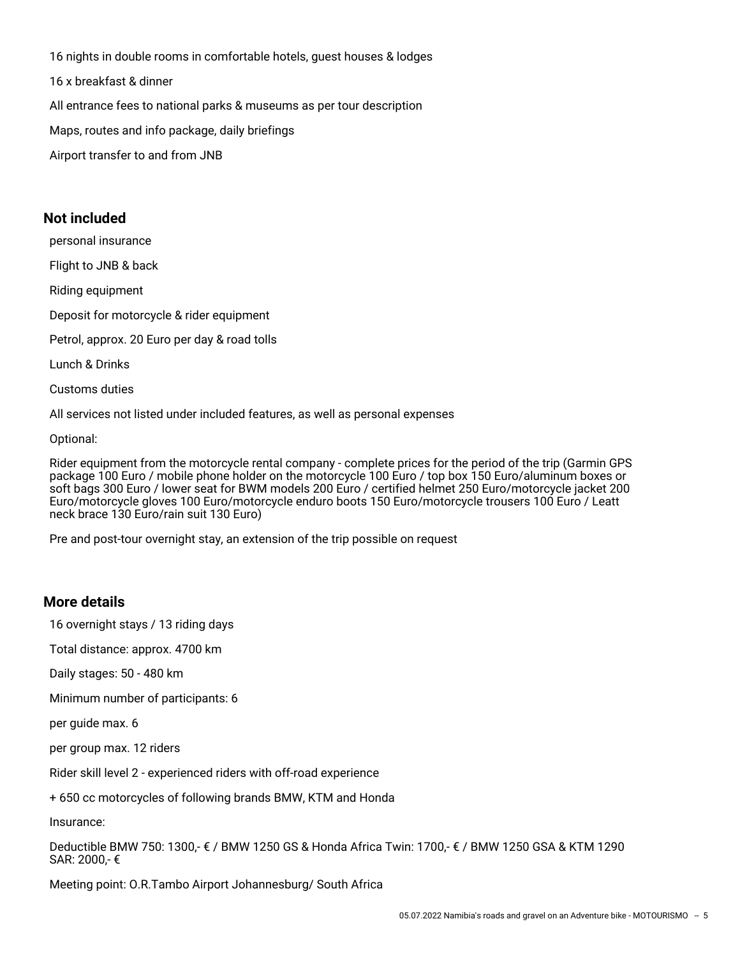16 nights in double rooms in comfortable hotels, guest houses & lodges 16 x breakfast & dinner All entrance fees to national parks & museums as per tour description Maps, routes and info package, daily briefings Airport transfer to and from JNB

# **Not included**

personal insurance

Flight to JNB & back

Riding equipment

Deposit for motorcycle & rider equipment

Petrol, approx. 20 Euro per day & road tolls

Lunch & Drinks

Customs duties

All services not listed under included features, as well as personal expenses

Optional:

Rider equipment from the motorcycle rental company - complete prices for the period of the trip (Garmin GPS package 100 Euro / mobile phone holder on the motorcycle 100 Euro / top box 150 Euro/aluminum boxes or soft bags 300 Euro / lower seat for BWM models 200 Euro / certified helmet 250 Euro/motorcycle jacket 200 Euro/motorcycle gloves 100 Euro/motorcycle enduro boots 150 Euro/motorcycle trousers 100 Euro / Leatt neck brace 130 Euro/rain suit 130 Euro)

Pre and post-tour overnight stay, an extension of the trip possible on request

# **More details**

16 overnight stays / 13 riding days

Total distance: approx. 4700 km

Daily stages: 50 - 480 km

Minimum number of participants: 6

per guide max. 6

per group max. 12 riders

Rider skill level 2 - experienced riders with off-road experience

+ 650 cc motorcycles of following brands BMW, KTM and Honda

Insurance:

Deductible BMW 750: 1300,- € / BMW 1250 GS & Honda Africa Twin: 1700,- € / BMW 1250 GSA & KTM 1290 SAR: 2000,- €

Meeting point: O.R.Tambo Airport Johannesburg/ South Africa